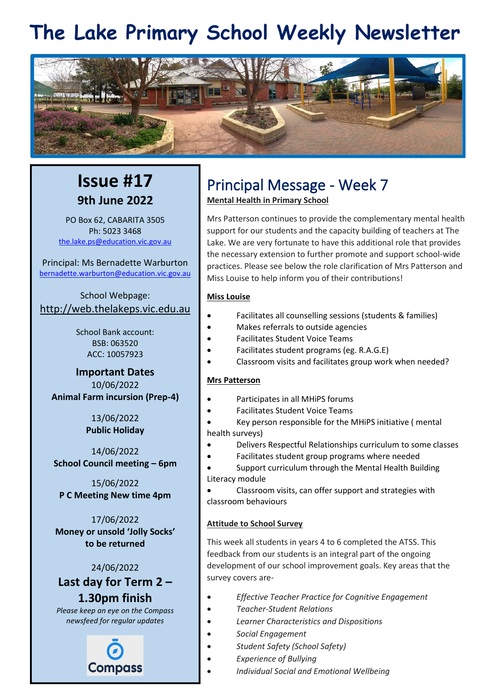# **The Lake Primary School Weekly Newsletter**



### **Issue #17 9th June 2022**

PO Box 62, CABARITA 3505 Ph: 5023 3468 [the.lake.ps@education.vic.gov.au](mailto:the.lake.ps@education.vic.gov.au)

Principal: Ms Bernadette Warburton [bernadette.warburton@education.vic.gov.au](mailto:bernadette.warburton@education.vic.gov.au)

School Webpage: [http://web.thelakeps.vic.edu.au](http://web.thelakeps.vic.edu.au/)

> School Bank account: BSB: 063520 ACC: 10057923

**Important Dates** 10/06/2022 **Animal Farm incursion (Prep-4)**

> 13/06/2022 **Public Holiday**

14/06/2022 **School Council meeting – 6pm**

15/06/2022 **P C Meeting New time 4pm**

17/06/2022 **Money or unsold 'Jolly Socks' to be returned**

24/06/2022 **Last day for Term 2 – 1.30pm finish**

*Please keep an eye on the Compass newsfeed for regular updates*



# Principal Message - Week 7

**Mental Health in Primary School**

Mrs Patterson continues to provide the complementary mental health support for our students and the capacity building of teachers at The Lake. We are very fortunate to have this additional role that provides the necessary extension to further promote and support school-wide practices. Please see below the role clarification of Mrs Patterson and Miss Louise to help inform you of their contributions!

#### **Miss Louise**

- Facilitates all counselling sessions (students & families)
- Makes referrals to outside agencies
- Facilitates Student Voice Teams
- Facilitates student programs (eg. R.A.G.E)
- Classroom visits and facilitates group work when needed?

#### **Mrs Patterson**

- Participates in all MHiPS forums
- Facilitates Student Voice Teams

• Key person responsible for the MHiPS initiative ( mental health surveys)

- Delivers Respectful Relationships curriculum to some classes
- Facilitates student group programs where needed

• Support curriculum through the Mental Health Building Literacy module

• Classroom visits, can offer support and strategies with classroom behaviours

#### **Attitude to School Survey**

This week all students in years 4 to 6 completed the ATSS. This feedback from our students is an integral part of the ongoing development of our school improvement goals. Key areas that the survey covers are-

- *Effective Teacher Practice for Cognitive Engagement*
- *Teacher-Student Relations*
- *Learner Characteristics and Dispositions*
- *Social Engagement*
- *Student Safety (School Safety)*
- *Experience of Bullying*
- *Individual Social and Emotional Wellbeing*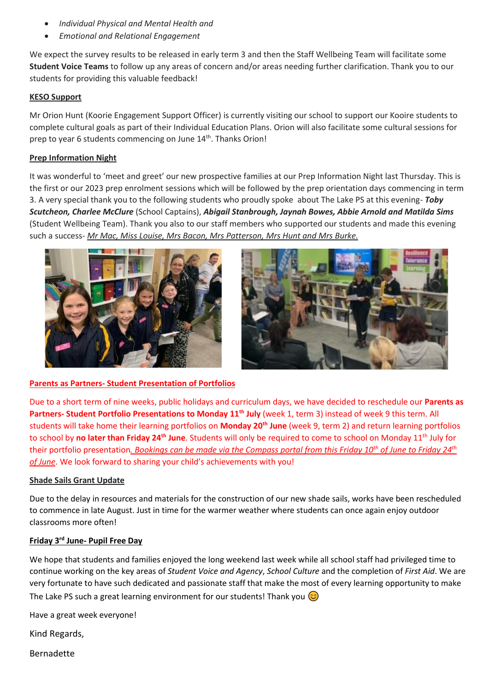- *Individual Physical and Mental Health and*
- *Emotional and Relational Engagement*

We expect the survey results to be released in early term 3 and then the Staff Wellbeing Team will facilitate some **Student Voice Teams** to follow up any areas of concern and/or areas needing further clarification. Thank you to our students for providing this valuable feedback!

#### **KESO Support**

Mr Orion Hunt (Koorie Engagement Support Officer) is currently visiting our school to support our Kooire students to complete cultural goals as part of their Individual Education Plans. Orion will also facilitate some cultural sessions for prep to year 6 students commencing on June 14<sup>th</sup>. Thanks Orion!

#### **Prep Information Night**

It was wonderful to 'meet and greet' our new prospective families at our Prep Information Night last Thursday. This is the first or our 2023 prep enrolment sessions which will be followed by the prep orientation days commencing in term 3. A very special thank you to the following students who proudly spoke about The Lake PS at this evening- *Toby Scutcheon, Charlee McClure* (School Captains), *Abigail Stanbrough, Jaynah Bowes, Abbie Arnold and Matilda Sims*  (Student Wellbeing Team). Thank you also to our staff members who supported our students and made this evening such a success- *Mr Mac, Miss Louise, Mrs Bacon, Mrs Patterson, Mrs Hunt and Mrs Burke.*





#### **Parents as Partners- Student Presentation of Portfolios**

Due to a short term of nine weeks, public holidays and curriculum days, we have decided to reschedule our **Parents as Partners- Student Portfolio Presentations to Monday 11th July** (week 1, term 3) instead of week 9 this term. All students will take home their learning portfolios on **Monday 20th June** (week 9, term 2) and return learning portfolios to school by **no later than Friday 24th June**. Students will only be required to come to school on Monday 11th July for their portfolio presentation*. Bookings can be made via the Compass portal from this Friday 10th of June to Friday 24th of June*. We look forward to sharing your child's achievements with you!

#### **Shade Sails Grant Update**

Due to the delay in resources and materials for the construction of our new shade sails, works have been rescheduled to commence in late August. Just in time for the warmer weather where students can once again enjoy outdoor classrooms more often!

#### **Friday 3rd June- Pupil Free Day**

We hope that students and families enjoyed the long weekend last week while all school staff had privileged time to continue working on the key areas of *Student Voice and Agency*, *School Culture* and the completion of *First Aid*. We are very fortunate to have such dedicated and passionate staff that make the most of every learning opportunity to make The Lake PS such a great learning environment for our students! Thank you  $\circled{c}$ 

Have a great week everyone!

Kind Regards,

Bernadette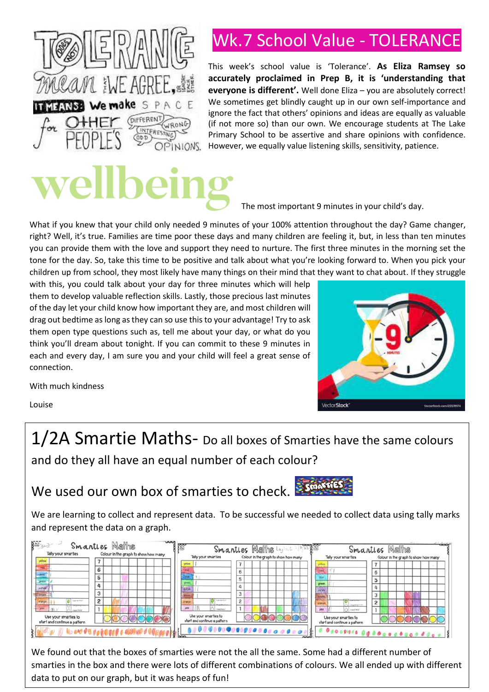

# Wk.7 School Value - TOLERANCE

This week's school value is 'Tolerance'. **As Eliza Ramsey so accurately proclaimed in Prep B, it is 'understanding that everyone is different'.** Well done Eliza – you are absolutely correct! We sometimes get blindly caught up in our own self-importance and ignore the fact that others' opinions and ideas are equally as valuable (if not more so) than our own. We encourage students at The Lake Primary School to be assertive and share opinions with confidence. However, we equally value listening skills, sensitivity, patience.



The most important 9 minutes in your child's day.

What if you knew that your child only needed 9 minutes of your 100% attention throughout the day? Game changer, right? Well, it's true. Families are time poor these days and many children are feeling it, but, in less than ten minutes you can provide them with the love and support they need to nurture. The first three minutes in the morning set the tone for the day. So, take this time to be positive and talk about what you're looking forward to. When you pick your children up from school, they most likely have many things on their mind that they want to chat about. If they struggle

with this, you could talk about your day for three minutes which will help them to develop valuable reflection skills. Lastly, those precious last minutes of the day let your child know how important they are, and most children will drag out bedtime as long as they can so use this to your advantage! Try to ask them open type questions such as, tell me about your day, or what do you think you'll dream about tonight. If you can commit to these 9 minutes in each and every day, I am sure you and your child will feel a great sense of connection.



With much kindness

Louise

1/2A Smartie Maths- Do all boxes of Smarties have the same colours and do they all have an equal number of each colour?

## We used our own box of smarties to check.

We are learning to collect and represent data. To be successful we needed to collect data using tally marks and represent the data on a graph.



We found out that the boxes of smarties were not the all the same. Some had a different number of In a regime ear that the sense of shighted were not the an the same redired against since the names. Or smarties in the box and there were lots of different combinations of colours. We all ended up with different data to put on our graph, but it was heaps of fun!